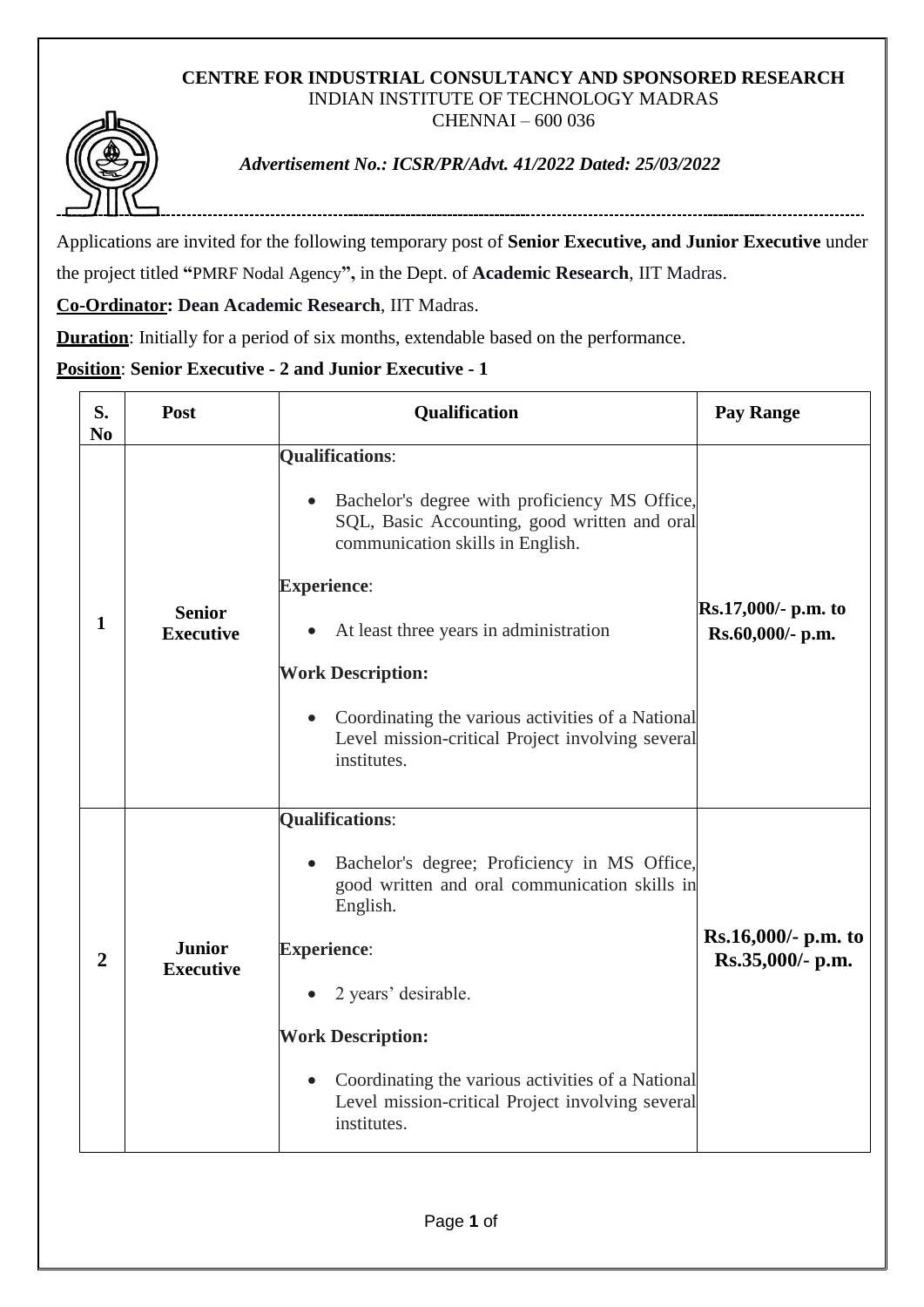## **CENTRE FOR INDUSTRIAL CONSULTANCY AND SPONSORED RESEARCH** INDIAN INSTITUTE OF TECHNOLOGY MADRAS CHENNAI – 600 036



*Advertisement No.: ICSR/PR/Advt. 41/2022 Dated: 25/03/2022*

Applications are invited for the following temporary post of **Senior Executive, and Junior Executive** under the project titled **"**PMRF Nodal Agency**",** in the Dept. of **Academic Research**, IIT Madras.

**Co-Ordinator: Dean Academic Research**, IIT Madras.

**Duration**: Initially for a period of six months, extendable based on the performance.

## **Position**: **Senior Executive - 2 and Junior Executive - 1**

| S.<br>N <sub>0</sub> | Post                              | Qualification                                                                                                                                                                                                                                                                                                                                                                   | <b>Pay Range</b>                          |
|----------------------|-----------------------------------|---------------------------------------------------------------------------------------------------------------------------------------------------------------------------------------------------------------------------------------------------------------------------------------------------------------------------------------------------------------------------------|-------------------------------------------|
| 1                    | <b>Senior</b><br><b>Executive</b> | <b>Qualifications:</b><br>Bachelor's degree with proficiency MS Office,<br>SQL, Basic Accounting, good written and oral<br>communication skills in English.<br><b>Experience:</b><br>At least three years in administration<br><b>Work Description:</b><br>Coordinating the various activities of a National<br>Level mission-critical Project involving several<br>institutes. | Rs.17,000/- p.m. to<br>Rs.60,000/- p.m.   |
| $\overline{2}$       | <b>Junior</b><br><b>Executive</b> | <b>Qualifications:</b><br>Bachelor's degree; Proficiency in MS Office,<br>$\bullet$<br>good written and oral communication skills in<br>English.<br><b>Experience:</b><br>2 years' desirable.<br><b>Work Description:</b><br>Coordinating the various activities of a National<br>$\bullet$<br>Level mission-critical Project involving several<br>institutes.                  | $Rs.16,000/- p.m.$ to<br>Rs.35,000/- p.m. |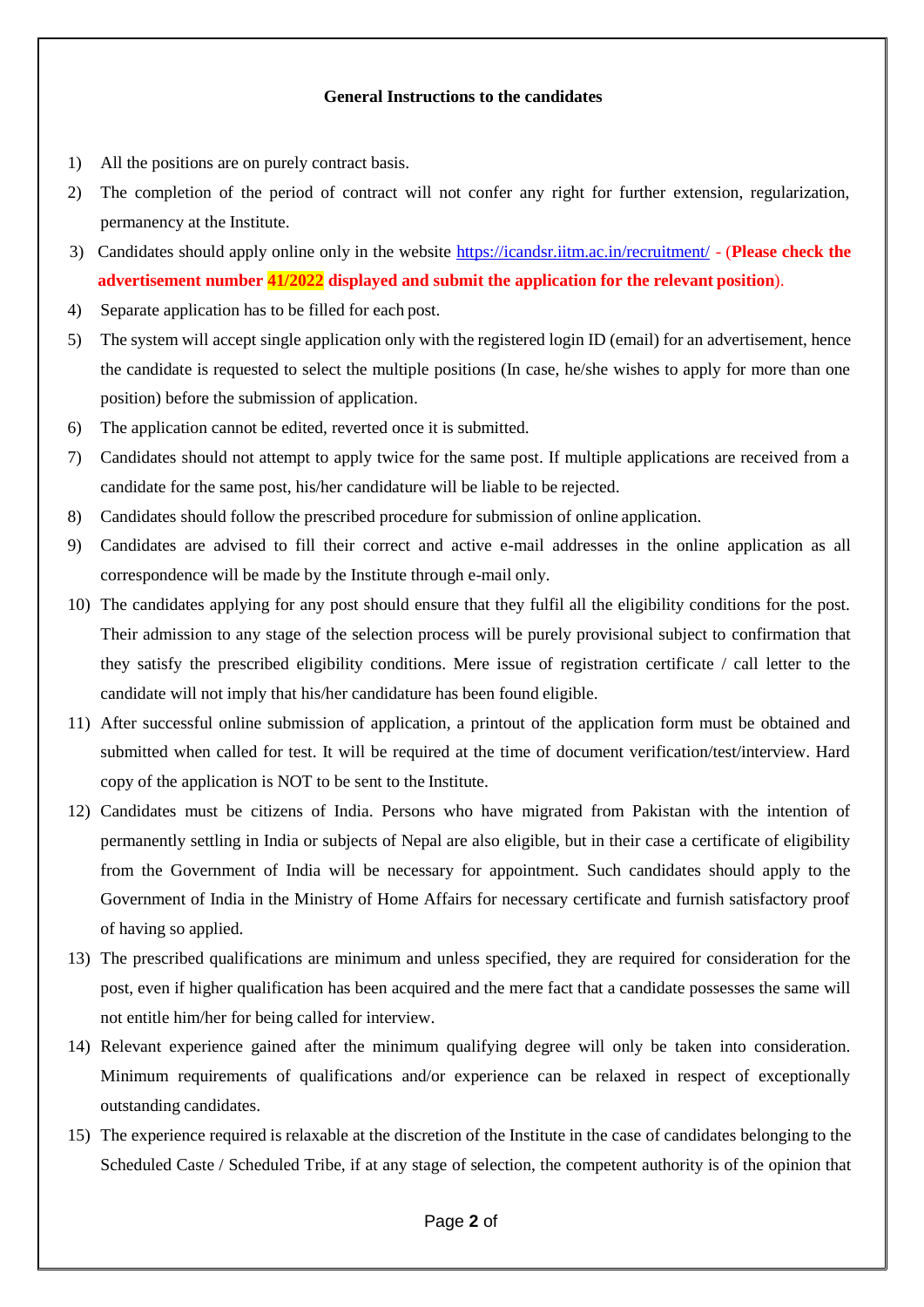## **General Instructions to the candidates**

- 1) All the positions are on purely contract basis.
- 2) The completion of the period of contract will not confer any right for further extension, regularization, permanency at the Institute.
- 3) Candidates should apply online only in the website <https://icandsr.iitm.ac.in/recruitment/> (**Please check the advertisement number 41/2022 displayed and submit the application for the relevant position**).
- 4) Separate application has to be filled for each post.
- 5) The system will accept single application only with the registered login ID (email) for an advertisement, hence the candidate is requested to select the multiple positions (In case, he/she wishes to apply for more than one position) before the submission of application.
- 6) The application cannot be edited, reverted once it is submitted.
- 7) Candidates should not attempt to apply twice for the same post. If multiple applications are received from a candidate for the same post, his/her candidature will be liable to be rejected.
- 8) Candidates should follow the prescribed procedure for submission of online application.
- 9) Candidates are advised to fill their correct and active e-mail addresses in the online application as all correspondence will be made by the Institute through e-mail only.
- 10) The candidates applying for any post should ensure that they fulfil all the eligibility conditions for the post. Their admission to any stage of the selection process will be purely provisional subject to confirmation that they satisfy the prescribed eligibility conditions. Mere issue of registration certificate / call letter to the candidate will not imply that his/her candidature has been found eligible.
- 11) After successful online submission of application, a printout of the application form must be obtained and submitted when called for test. It will be required at the time of document verification/test/interview. Hard copy of the application is NOT to be sent to the Institute.
- 12) Candidates must be citizens of India. Persons who have migrated from Pakistan with the intention of permanently settling in India or subjects of Nepal are also eligible, but in their case a certificate of eligibility from the Government of India will be necessary for appointment. Such candidates should apply to the Government of India in the Ministry of Home Affairs for necessary certificate and furnish satisfactory proof of having so applied.
- 13) The prescribed qualifications are minimum and unless specified, they are required for consideration for the post, even if higher qualification has been acquired and the mere fact that a candidate possesses the same will not entitle him/her for being called for interview.
- 14) Relevant experience gained after the minimum qualifying degree will only be taken into consideration. Minimum requirements of qualifications and/or experience can be relaxed in respect of exceptionally outstanding candidates.
- 15) The experience required is relaxable at the discretion of the Institute in the case of candidates belonging to the Scheduled Caste / Scheduled Tribe, if at any stage of selection, the competent authority is of the opinion that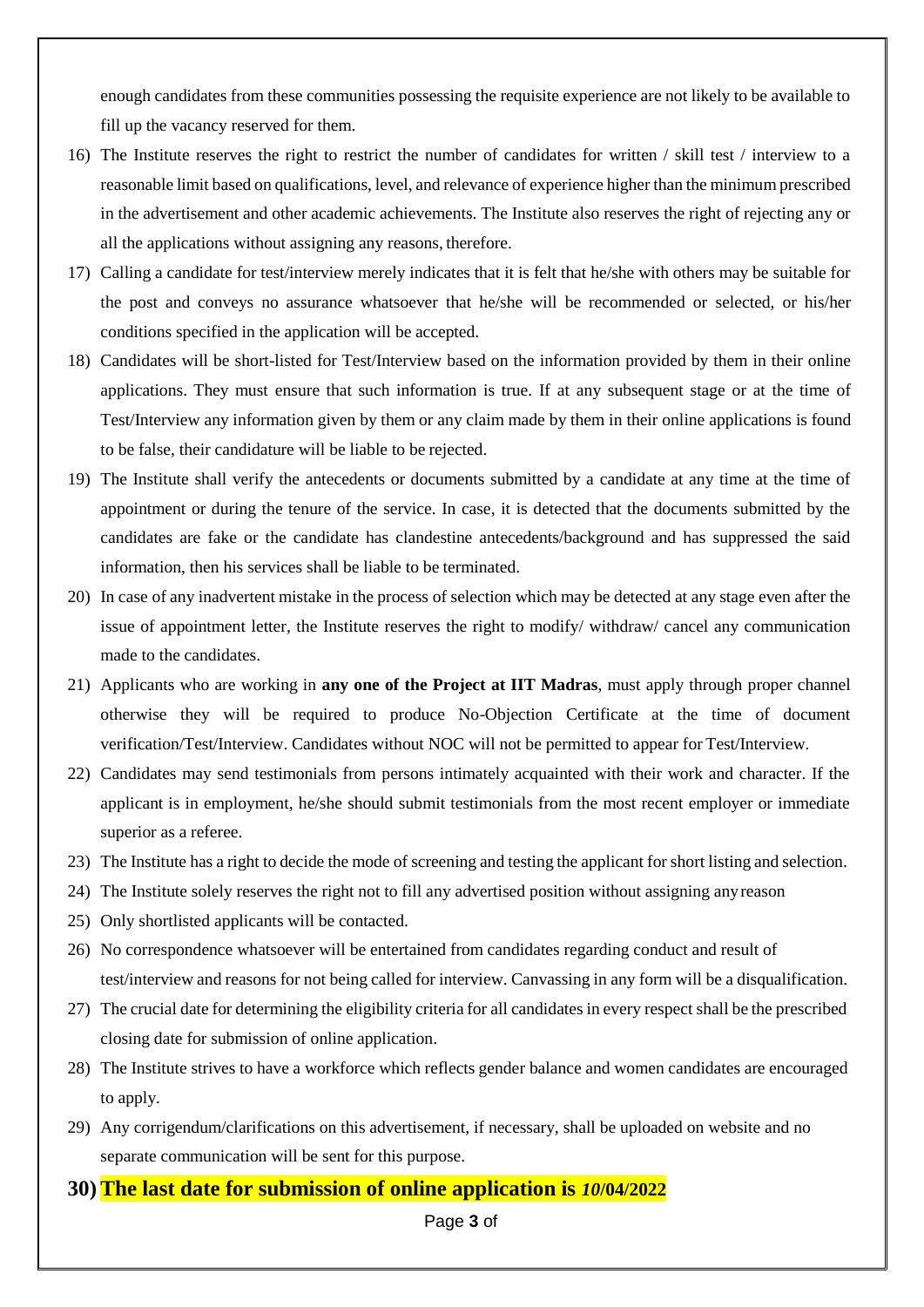enough candidates from these communities possessing the requisite experience are not likely to be available to fill up the vacancy reserved for them.

- 16) The Institute reserves the right to restrict the number of candidates for written / skill test / interview to a reasonable limit based on qualifications, level, and relevance of experience higher than the minimum prescribed in the advertisement and other academic achievements. The Institute also reserves the right of rejecting any or all the applications without assigning any reasons, therefore.
- 17) Calling a candidate for test/interview merely indicates that it is felt that he/she with others may be suitable for the post and conveys no assurance whatsoever that he/she will be recommended or selected, or his/her conditions specified in the application will be accepted.
- 18) Candidates will be short-listed for Test/Interview based on the information provided by them in their online applications. They must ensure that such information is true. If at any subsequent stage or at the time of Test/Interview any information given by them or any claim made by them in their online applications is found to be false, their candidature will be liable to be rejected.
- 19) The Institute shall verify the antecedents or documents submitted by a candidate at any time at the time of appointment or during the tenure of the service. In case, it is detected that the documents submitted by the candidates are fake or the candidate has clandestine antecedents/background and has suppressed the said information, then his services shall be liable to be terminated.
- 20) In case of any inadvertent mistake in the process of selection which may be detected at any stage even after the issue of appointment letter, the Institute reserves the right to modify/ withdraw/ cancel any communication made to the candidates.
- 21) Applicants who are working in **any one of the Project at IIT Madras**, must apply through proper channel otherwise they will be required to produce No-Objection Certificate at the time of document verification/Test/Interview. Candidates without NOC will not be permitted to appear for Test/Interview.
- 22) Candidates may send testimonials from persons intimately acquainted with their work and character. If the applicant is in employment, he/she should submit testimonials from the most recent employer or immediate superior as a referee.
- 23) The Institute has a right to decide the mode of screening and testing the applicant for short listing and selection.
- 24) The Institute solely reserves the right not to fill any advertised position without assigning anyreason
- 25) Only shortlisted applicants will be contacted.
- 26) No correspondence whatsoever will be entertained from candidates regarding conduct and result of test/interview and reasons for not being called for interview. Canvassing in any form will be a disqualification.
- 27) The crucial date for determining the eligibility criteria for all candidates in every respect shall be the prescribed closing date for submission of online application.
- 28) The Institute strives to have a workforce which reflects gender balance and women candidates are encouraged to apply.
- 29) Any corrigendum/clarifications on this advertisement, if necessary, shall be uploaded on website and no separate communication will be sent for this purpose.
- **30) The last date for submission of online application is** *10***/04/2022**

Page **3** of